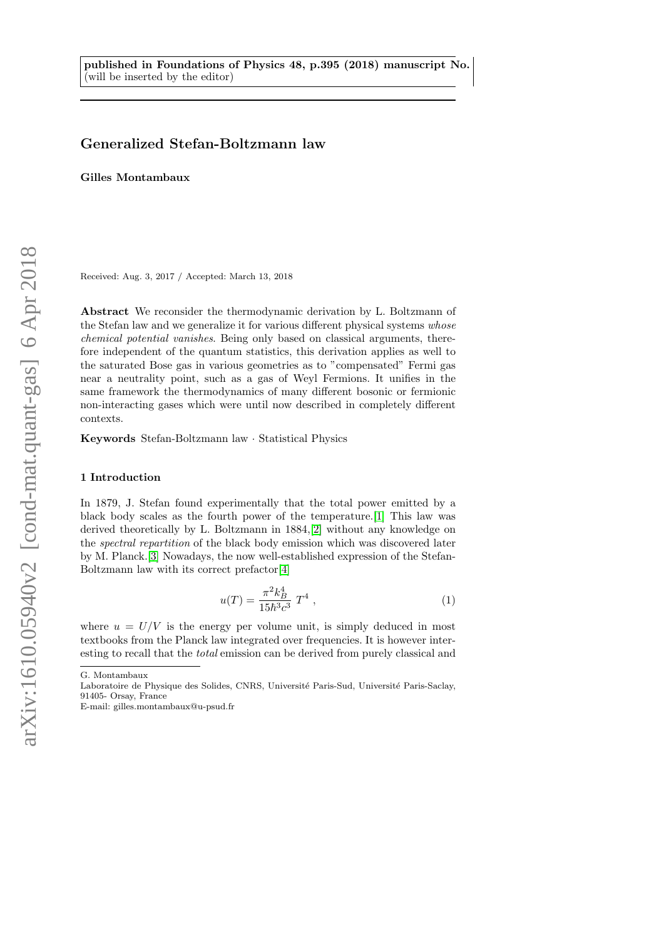# Generalized Stefan-Boltzmann law

Gilles Montambaux

Received: Aug. 3, 2017 / Accepted: March 13, 2018

Abstract We reconsider the thermodynamic derivation by L. Boltzmann of the Stefan law and we generalize it for various different physical systems whose chemical potential vanishes. Being only based on classical arguments, therefore independent of the quantum statistics, this derivation applies as well to the saturated Bose gas in various geometries as to "compensated" Fermi gas near a neutrality point, such as a gas of Weyl Fermions. It unifies in the same framework the thermodynamics of many different bosonic or fermionic non-interacting gases which were until now described in completely different contexts.

Keywords Stefan-Boltzmann law · Statistical Physics

### 1 Introduction

In 1879, J. Stefan found experimentally that the total power emitted by a black body scales as the fourth power of the temperature.[\[1\]](#page-14-0) This law was derived theoretically by L. Boltzmann in 1884,[\[2\]](#page-14-1) without any knowledge on the spectral repartition of the black body emission which was discovered later by M. Planck.[\[3\]](#page-14-2) Nowadays, the now well-established expression of the Stefan-Boltzmann law with its correct prefactor[\[4\]](#page-14-3)

<span id="page-0-0"></span>
$$
u(T) = \frac{\pi^2 k_B^4}{15\hbar^3 c^3} T^4 , \qquad (1)
$$

where  $u = U/V$  is the energy per volume unit, is simply deduced in most textbooks from the Planck law integrated over frequencies. It is however interesting to recall that the total emission can be derived from purely classical and

G. Montambaux

Laboratoire de Physique des Solides, CNRS, Université Paris-Sud, Université Paris-Saclay, 91405- Orsay, France

E-mail: gilles.montambaux@u-psud.fr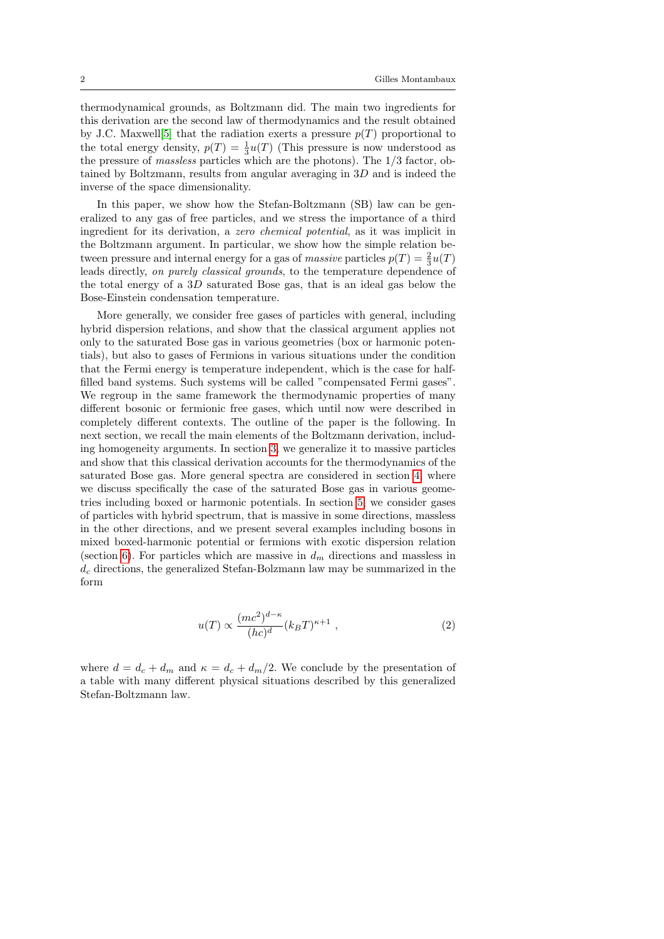thermodynamical grounds, as Boltzmann did. The main two ingredients for this derivation are the second law of thermodynamics and the result obtained by J.C. Maxwell<sup>[\[5\]](#page-14-4)</sup> that the radiation exerts a pressure  $p(T)$  proportional to the total energy density,  $p(T) = \frac{1}{3}u(T)$  (This pressure is now understood as the pressure of massless particles which are the photons). The 1/3 factor, obtained by Boltzmann, results from angular averaging in 3D and is indeed the inverse of the space dimensionality.

In this paper, we show how the Stefan-Boltzmann (SB) law can be generalized to any gas of free particles, and we stress the importance of a third ingredient for its derivation, a zero chemical potential, as it was implicit in the Boltzmann argument. In particular, we show how the simple relation between pressure and internal energy for a gas of massive particles  $p(T) = \frac{2}{3}u(T)$ leads directly, on purely classical grounds, to the temperature dependence of the total energy of a 3D saturated Bose gas, that is an ideal gas below the Bose-Einstein condensation temperature.

More generally, we consider free gases of particles with general, including hybrid dispersion relations, and show that the classical argument applies not only to the saturated Bose gas in various geometries (box or harmonic potentials), but also to gases of Fermions in various situations under the condition that the Fermi energy is temperature independent, which is the case for halffilled band systems. Such systems will be called "compensated Fermi gases". We regroup in the same framework the thermodynamic properties of many different bosonic or fermionic free gases, which until now were described in completely different contexts. The outline of the paper is the following. In next section, we recall the main elements of the Boltzmann derivation, including homogeneity arguments. In section [3,](#page-2-0) we generalize it to massive particles and show that this classical derivation accounts for the thermodynamics of the saturated Bose gas. More general spectra are considered in section [4,](#page-3-0) where we discuss specifically the case of the saturated Bose gas in various geometries including boxed or harmonic potentials. In section [5,](#page-6-0) we consider gases of particles with hybrid spectrum, that is massive in some directions, massless in the other directions, and we present several examples including bosons in mixed boxed-harmonic potential or fermions with exotic dispersion relation (section [6\)](#page-7-0). For particles which are massive in  $d_m$  directions and massless in  $d_c$  directions, the generalized Stefan-Bolzmann law may be summarized in the form

$$
u(T) \propto \frac{(mc^2)^{d-\kappa}}{(hc)^d} (k_B T)^{\kappa+1} , \qquad (2)
$$

where  $d = d_c + d_m$  and  $\kappa = d_c + d_m/2$ . We conclude by the presentation of a table with many different physical situations described by this generalized Stefan-Boltzmann law.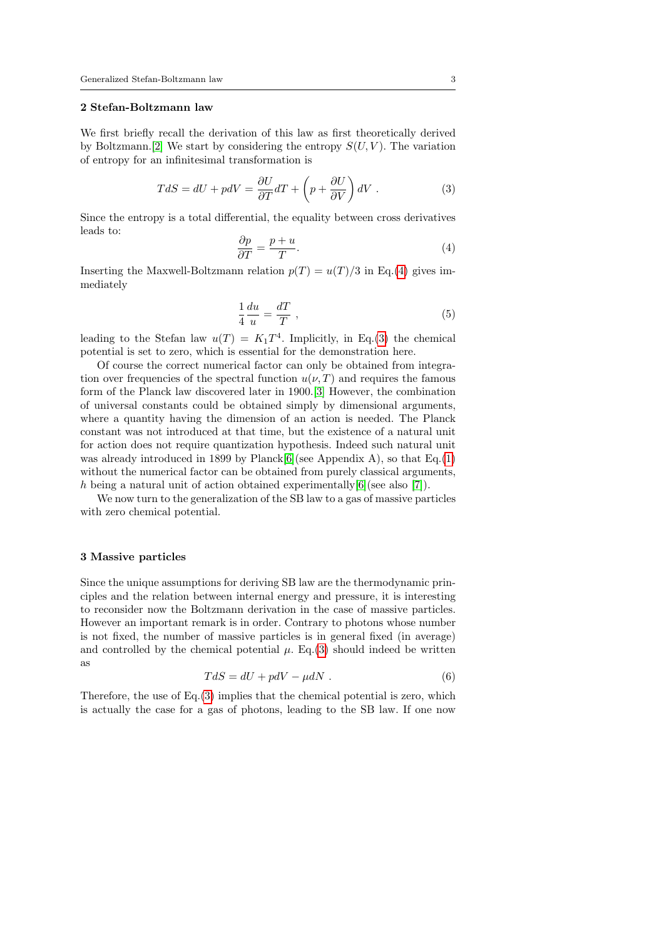### 2 Stefan-Boltzmann law

We first briefly recall the derivation of this law as first theoretically derived by Boltzmann. [\[2\]](#page-14-1) We start by considering the entropy  $S(U, V)$ . The variation of entropy for an infinitesimal transformation is

<span id="page-2-2"></span>
$$
TdS = dU + pdV = \frac{\partial U}{\partial T}dT + \left(p + \frac{\partial U}{\partial V}\right)dV.
$$
\n(3)

Since the entropy is a total differential, the equality between cross derivatives leads to:

<span id="page-2-1"></span>
$$
\frac{\partial p}{\partial T} = \frac{p+u}{T}.\tag{4}
$$

Inserting the Maxwell-Boltzmann relation  $p(T) = u(T)/3$  in Eq.[\(4\)](#page-2-1) gives immediately

<span id="page-2-3"></span>
$$
\frac{1}{4}\frac{du}{u} = \frac{dT}{T} \,,\tag{5}
$$

leading to the Stefan law  $u(T) = K_1 T^4$ . Implicitly, in Eq.[\(3\)](#page-2-2) the chemical potential is set to zero, which is essential for the demonstration here.

Of course the correct numerical factor can only be obtained from integration over frequencies of the spectral function  $u(\nu, T)$  and requires the famous form of the Planck law discovered later in 1900.[\[3\]](#page-14-2) However, the combination of universal constants could be obtained simply by dimensional arguments, where a quantity having the dimension of an action is needed. The Planck constant was not introduced at that time, but the existence of a natural unit for action does not require quantization hypothesis. Indeed such natural unit was already introduced in 1899 by Planck[\[6\]](#page-15-0)(see Appendix A), so that Eq.[\(1\)](#page-0-0) without the numerical factor can be obtained from purely classical arguments, h being a natural unit of action obtained experimentally  $[6]$  (see also [\[7\]](#page-15-1)).

We now turn to the generalization of the SB law to a gas of massive particles with zero chemical potential.

### <span id="page-2-0"></span>3 Massive particles

Since the unique assumptions for deriving SB law are the thermodynamic principles and the relation between internal energy and pressure, it is interesting to reconsider now the Boltzmann derivation in the case of massive particles. However an important remark is in order. Contrary to photons whose number is not fixed, the number of massive particles is in general fixed (in average) and controlled by the chemical potential  $\mu$ . Eq.[\(3\)](#page-2-2) should indeed be written as

$$
TdS = dU + pdV - \mu dN \tag{6}
$$

Therefore, the use of  $Eq.(3)$  $Eq.(3)$  implies that the chemical potential is zero, which is actually the case for a gas of photons, leading to the SB law. If one now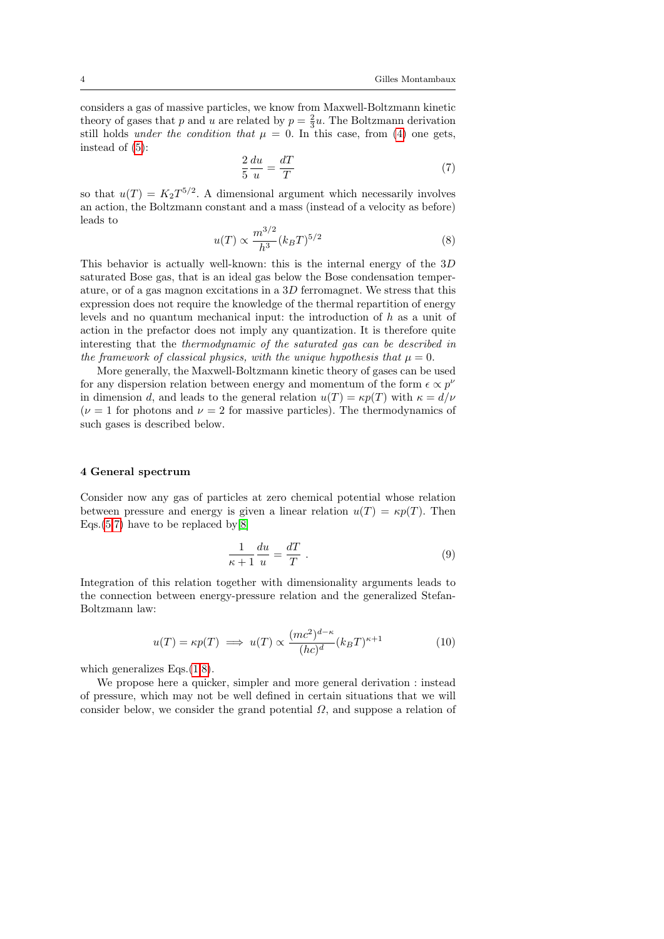considers a gas of massive particles, we know from Maxwell-Boltzmann kinetic theory of gases that p and u are related by  $p = \frac{2}{3}u$ . The Boltzmann derivation still holds *under the condition that*  $\mu = 0$ . In this case, from [\(4\)](#page-2-1) one gets, instead of [\(5\)](#page-2-3):

<span id="page-3-1"></span>
$$
\frac{2}{5}\frac{du}{u} = \frac{dT}{T} \tag{7}
$$

so that  $u(T) = K_2 T^{5/2}$ . A dimensional argument which necessarily involves an action, the Boltzmann constant and a mass (instead of a velocity as before) leads to

<span id="page-3-2"></span>
$$
u(T) \propto \frac{m^{3/2}}{h^3} (k_B T)^{5/2}
$$
 (8)

This behavior is actually well-known: this is the internal energy of the 3D saturated Bose gas, that is an ideal gas below the Bose condensation temperature, or of a gas magnon excitations in a 3D ferromagnet. We stress that this expression does not require the knowledge of the thermal repartition of energy levels and no quantum mechanical input: the introduction of h as a unit of action in the prefactor does not imply any quantization. It is therefore quite interesting that the thermodynamic of the saturated gas can be described in the framework of classical physics, with the unique hypothesis that  $\mu = 0$ .

More generally, the Maxwell-Boltzmann kinetic theory of gases can be used for any dispersion relation between energy and momentum of the form  $\epsilon \propto p^{\nu}$ in dimension d, and leads to the general relation  $u(T) = \kappa p(T)$  with  $\kappa = d/\nu$ ( $\nu = 1$  for photons and  $\nu = 2$  for massive particles). The thermodynamics of such gases is described below.

### <span id="page-3-0"></span>4 General spectrum

Consider now any gas of particles at zero chemical potential whose relation between pressure and energy is given a linear relation  $u(T) = \kappa p(T)$ . Then Eqs. $(5,7)$  $(5,7)$  have to be replaced by [\[8\]](#page-15-2)

$$
\frac{1}{\kappa + 1} \frac{du}{u} = \frac{dT}{T} \tag{9}
$$

Integration of this relation together with dimensionality arguments leads to the connection between energy-pressure relation and the generalized Stefan-Boltzmann law:

<span id="page-3-3"></span>
$$
u(T) = \kappa p(T) \implies u(T) \propto \frac{(mc^2)^{d-\kappa}}{(hc)^d} (k_B T)^{\kappa+1}
$$
 (10)

which generalizes Eqs. $(1,8)$  $(1,8)$ .

We propose here a quicker, simpler and more general derivation : instead of pressure, which may not be well defined in certain situations that we will consider below, we consider the grand potential  $\Omega$ , and suppose a relation of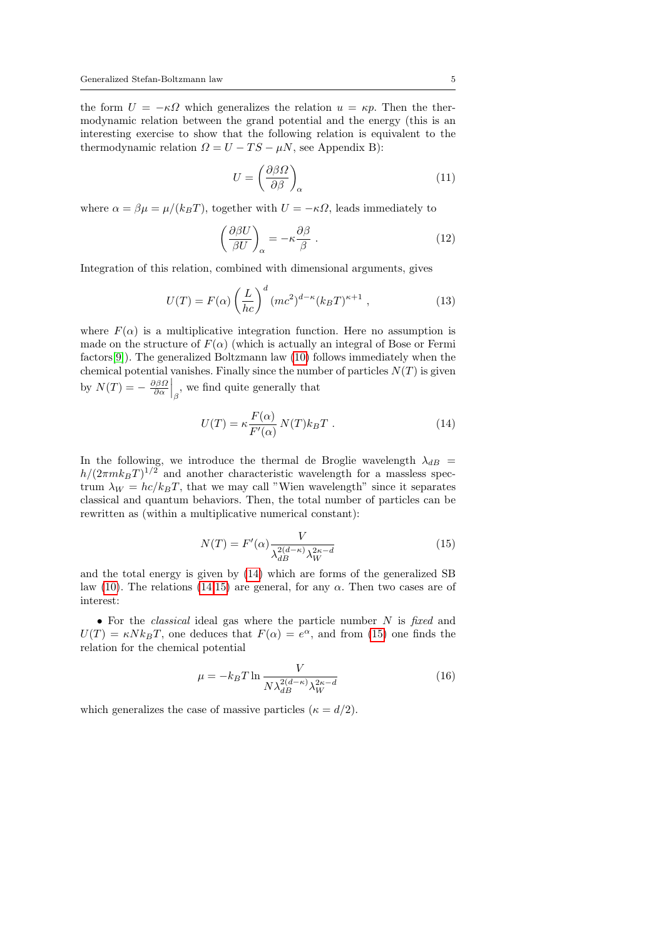the form  $U = -\kappa \Omega$  which generalizes the relation  $u = \kappa p$ . Then the thermodynamic relation between the grand potential and the energy (this is an interesting exercise to show that the following relation is equivalent to the thermodynamic relation  $\Omega = U - TS - \mu N$ , see Appendix B):

$$
U = \left(\frac{\partial \beta \Omega}{\partial \beta}\right)_{\alpha} \tag{11}
$$

where  $\alpha = \beta \mu = \mu/(k_B T)$ , together with  $U = -\kappa \Omega$ , leads immediately to

$$
\left(\frac{\partial \beta U}{\beta U}\right)_{\alpha} = -\kappa \frac{\partial \beta}{\beta} \tag{12}
$$

Integration of this relation, combined with dimensional arguments, gives

<span id="page-4-2"></span>
$$
U(T) = F(\alpha) \left(\frac{L}{hc}\right)^d (mc^2)^{d-\kappa} (k_B T)^{\kappa+1} , \qquad (13)
$$

where  $F(\alpha)$  is a multiplicative integration function. Here no assumption is made on the structure of  $F(\alpha)$  (which is actually an integral of Bose or Fermi factors[\[9\]](#page-15-3)). The generalized Boltzmann law [\(10\)](#page-3-3) follows immediately when the chemical potential vanishes. Finally since the number of particles  $N(T)$  is given by  $N(T) = -\frac{\partial \beta \Omega}{\partial \alpha} \Big|_{\beta}$ , we find quite generally that

<span id="page-4-0"></span>
$$
U(T) = \kappa \frac{F(\alpha)}{F'(\alpha)} N(T) k_B T . \qquad (14)
$$

In the following, we introduce the thermal de Broglie wavelength  $\lambda_{dB}$  =  $h/(2\pi m k_B T)^{1/2}$  and another characteristic wavelength for a massless spectrum  $\lambda_W = hc/k_BT$ , that we may call "Wien wavelength" since it separates classical and quantum behaviors. Then, the total number of particles can be rewritten as (within a multiplicative numerical constant):

<span id="page-4-1"></span>
$$
N(T) = F'(\alpha) \frac{V}{\lambda_{dB}^{2(d-\kappa)} \lambda_W^{2\kappa - d}}
$$
\n(15)

and the total energy is given by [\(14\)](#page-4-0) which are forms of the generalized SB law [\(10\)](#page-3-3). The relations [\(14,](#page-4-0)[15\)](#page-4-1) are general, for any  $\alpha$ . Then two cases are of interest:

• For the *classical* ideal gas where the particle number  $N$  is fixed and  $U(T) = \kappa N k_B T$ , one deduces that  $F(\alpha) = e^{\alpha}$ , and from [\(15\)](#page-4-1) one finds the relation for the chemical potential

$$
\mu = -k_B T \ln \frac{V}{N \lambda_{dB}^{2(d-\kappa)} \lambda_W^{2\kappa - d}}
$$
(16)

which generalizes the case of massive particles ( $\kappa = d/2$ ).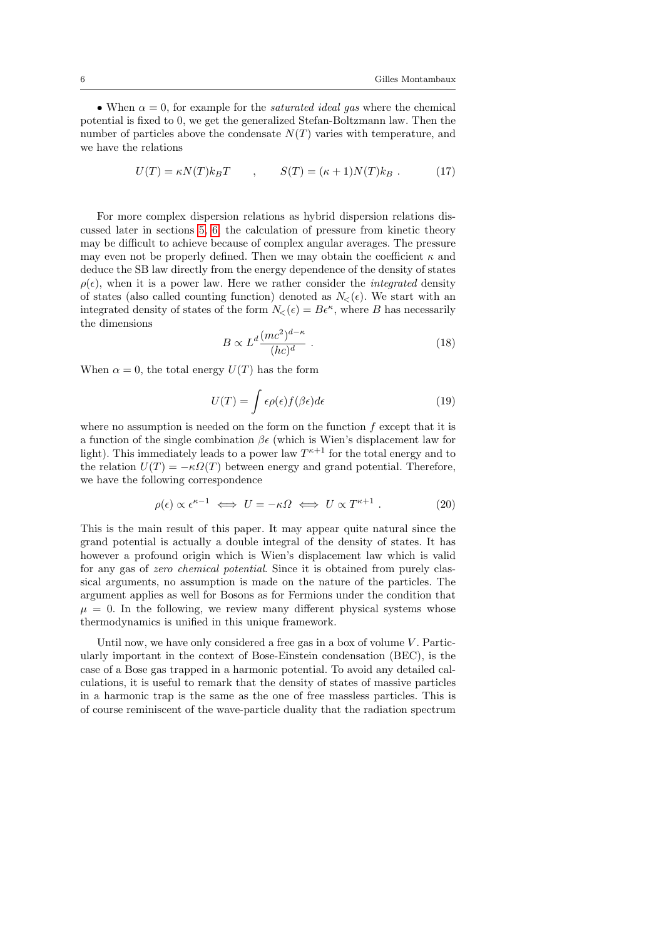• When  $\alpha = 0$ , for example for the *saturated ideal gas* where the chemical potential is fixed to 0, we get the generalized Stefan-Boltzmann law. Then the number of particles above the condensate  $N(T)$  varies with temperature, and we have the relations

$$
U(T) = \kappa N(T) k_B T \qquad , \qquad S(T) = (\kappa + 1) N(T) k_B \ . \tag{17}
$$

For more complex dispersion relations as hybrid dispersion relations discussed later in sections [5,](#page-6-0) [6,](#page-7-0) the calculation of pressure from kinetic theory may be difficult to achieve because of complex angular averages. The pressure may even not be properly defined. Then we may obtain the coefficient  $\kappa$  and deduce the SB law directly from the energy dependence of the density of states  $\rho(\epsilon)$ , when it is a power law. Here we rather consider the *integrated* density of states (also called counting function) denoted as  $N_{\leq}(\epsilon)$ . We start with an integrated density of states of the form  $N_{\leq}(\epsilon) = B\epsilon^{\kappa}$ , where B has necessarily the dimensions

<span id="page-5-0"></span>
$$
B \propto L^d \frac{(mc^2)^{d-\kappa}}{(hc)^d} \ . \tag{18}
$$

When  $\alpha = 0$ , the total energy  $U(T)$  has the form

$$
U(T) = \int \epsilon \rho(\epsilon) f(\beta \epsilon) d\epsilon \tag{19}
$$

where no assumption is needed on the form on the function  $f$  except that it is a function of the single combination  $\beta \epsilon$  (which is Wien's displacement law for light). This immediately leads to a power law  $T^{\kappa+1}$  for the total energy and to the relation  $U(T) = -\kappa \Omega(T)$  between energy and grand potential. Therefore, we have the following correspondence

$$
\rho(\epsilon) \propto \epsilon^{\kappa - 1} \iff U = -\kappa \Omega \iff U \propto T^{\kappa + 1} \,. \tag{20}
$$

This is the main result of this paper. It may appear quite natural since the grand potential is actually a double integral of the density of states. It has however a profound origin which is Wien's displacement law which is valid for any gas of zero chemical potential. Since it is obtained from purely classical arguments, no assumption is made on the nature of the particles. The argument applies as well for Bosons as for Fermions under the condition that  $\mu = 0$ . In the following, we review many different physical systems whose thermodynamics is unified in this unique framework.

Until now, we have only considered a free gas in a box of volume  $V$ . Particularly important in the context of Bose-Einstein condensation (BEC), is the case of a Bose gas trapped in a harmonic potential. To avoid any detailed calculations, it is useful to remark that the density of states of massive particles in a harmonic trap is the same as the one of free massless particles. This is of course reminiscent of the wave-particle duality that the radiation spectrum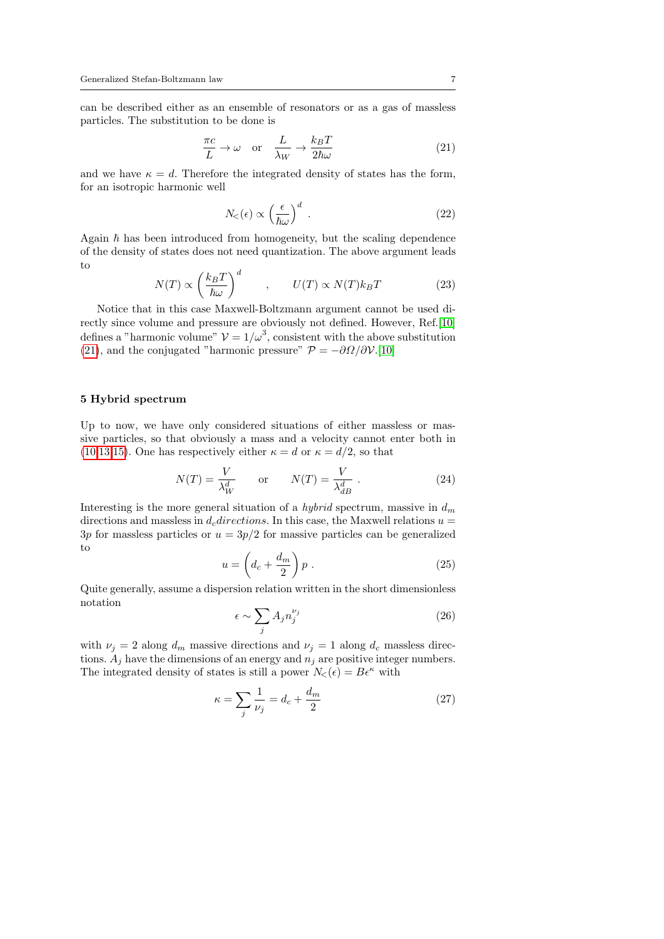can be described either as an ensemble of resonators or as a gas of massless particles. The substitution to be done is

<span id="page-6-1"></span>
$$
\frac{\pi c}{L} \to \omega \quad \text{or} \quad \frac{L}{\lambda_W} \to \frac{k_B T}{2\hbar \omega} \tag{21}
$$

and we have  $\kappa = d$ . Therefore the integrated density of states has the form, for an isotropic harmonic well

$$
N_{<}(\epsilon) \propto \left(\frac{\epsilon}{\hbar \omega}\right)^d \tag{22}
$$

Again  $\hbar$  has been introduced from homogeneity, but the scaling dependence of the density of states does not need quantization. The above argument leads to

$$
N(T) \propto \left(\frac{k_B T}{\hbar \omega}\right)^d \qquad , \qquad U(T) \propto N(T) k_B T \tag{23}
$$

Notice that in this case Maxwell-Boltzmann argument cannot be used directly since volume and pressure are obviously not defined. However, Ref.[\[10\]](#page-15-4) defines a "harmonic volume"  $\mathcal{V} = 1/\omega^3$ , consistent with the above substitution [\(21\)](#page-6-1), and the conjugated "harmonic pressure"  $\mathcal{P} = -\partial\Omega/\partial\mathcal{V}$ .[\[10\]](#page-15-4)

## <span id="page-6-0"></span>5 Hybrid spectrum

Up to now, we have only considered situations of either massless or massive particles, so that obviously a mass and a velocity cannot enter both in [\(10,](#page-3-3)[13,](#page-4-2)[15\)](#page-4-1). One has respectively either  $\kappa = d$  or  $\kappa = d/2$ , so that

$$
N(T) = \frac{V}{\lambda_W^d} \quad \text{or} \quad N(T) = \frac{V}{\lambda_{dB}^d} \tag{24}
$$

Interesting is the more general situation of a *hybrid* spectrum, massive in  $d_m$ directions and massless in  $d_c$  directions. In this case, the Maxwell relations  $u =$ 3p for massless particles or  $u = 3p/2$  for massive particles can be generalized to

$$
u = \left(d_c + \frac{d_m}{2}\right)p\tag{25}
$$

Quite generally, assume a dispersion relation written in the short dimensionless notation

<span id="page-6-2"></span>
$$
\epsilon \sim \sum_{j} A_j n_j^{\nu_j} \tag{26}
$$

with  $\nu_j = 2$  along  $d_m$  massive directions and  $\nu_j = 1$  along  $d_c$  massless directions.  $A_j$  have the dimensions of an energy and  $n_j$  are positive integer numbers. The integrated density of states is still a power  $N_{\leq}(\epsilon) = B\epsilon^{\kappa}$  with

$$
\kappa = \sum_{j} \frac{1}{\nu_j} = d_c + \frac{d_m}{2} \tag{27}
$$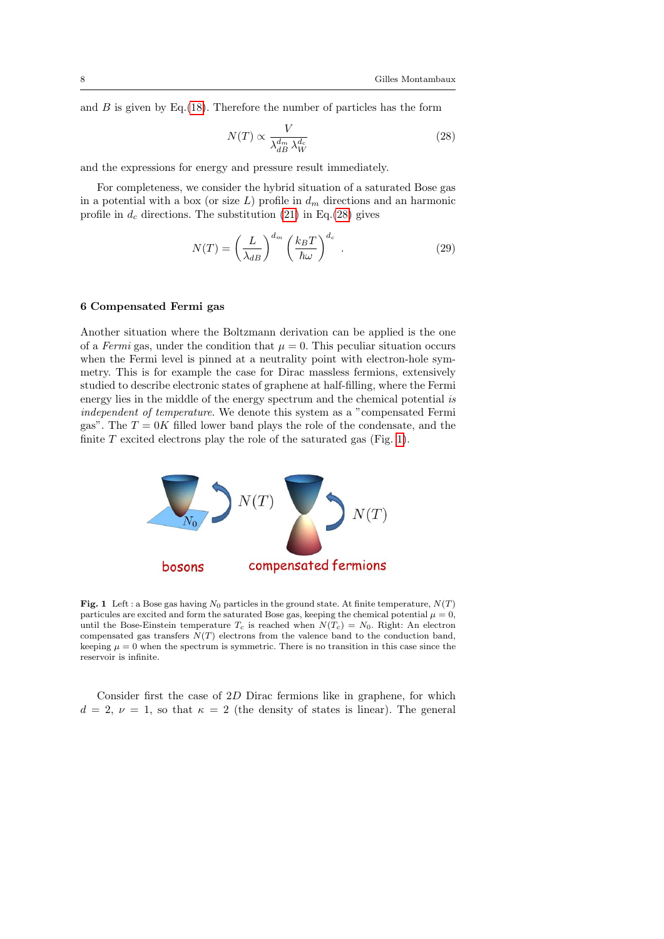and  $B$  is given by Eq.[\(18\)](#page-5-0). Therefore the number of particles has the form

<span id="page-7-1"></span>
$$
N(T) \propto \frac{V}{\lambda_{dB}^{d_m} \lambda_W^{d_c}}
$$
\n(28)

and the expressions for energy and pressure result immediately.

For completeness, we consider the hybrid situation of a saturated Bose gas in a potential with a box (or size  $L$ ) profile in  $d<sub>m</sub>$  directions and an harmonic profile in  $d_c$  directions. The substitution [\(21\)](#page-6-1) in Eq.[\(28\)](#page-7-1) gives

$$
N(T) = \left(\frac{L}{\lambda_{dB}}\right)^{d_m} \left(\frac{k_B T}{\hbar \omega}\right)^{d_c} .
$$
 (29)

### <span id="page-7-0"></span>6 Compensated Fermi gas

Another situation where the Boltzmann derivation can be applied is the one of a Fermi gas, under the condition that  $\mu = 0$ . This peculiar situation occurs when the Fermi level is pinned at a neutrality point with electron-hole symmetry. This is for example the case for Dirac massless fermions, extensively studied to describe electronic states of graphene at half-filling, where the Fermi energy lies in the middle of the energy spectrum and the chemical potential is independent of temperature. We denote this system as a "compensated Fermi gas". The  $T = 0K$  filled lower band plays the role of the condensate, and the finite  $T$  excited electrons play the role of the saturated gas (Fig. [1\)](#page-7-2).



<span id="page-7-2"></span>Fig. 1 Left : a Bose gas having  $N_0$  particles in the ground state. At finite temperature,  $N(T)$ particules are excited and form the saturated Bose gas, keeping the chemical potential  $\mu = 0$ , until the Bose-Einstein temperature  $T_c$  is reached when  $N(T_c) = N_0$ . Right: An electron compensated gas transfers  $N(T)$  electrons from the valence band to the conduction band, keeping  $\mu = 0$  when the spectrum is symmetric. There is no transition in this case since the reservoir is infinite.

Consider first the case of 2D Dirac fermions like in graphene, for which  $d = 2, \nu = 1$ , so that  $\kappa = 2$  (the density of states is linear). The general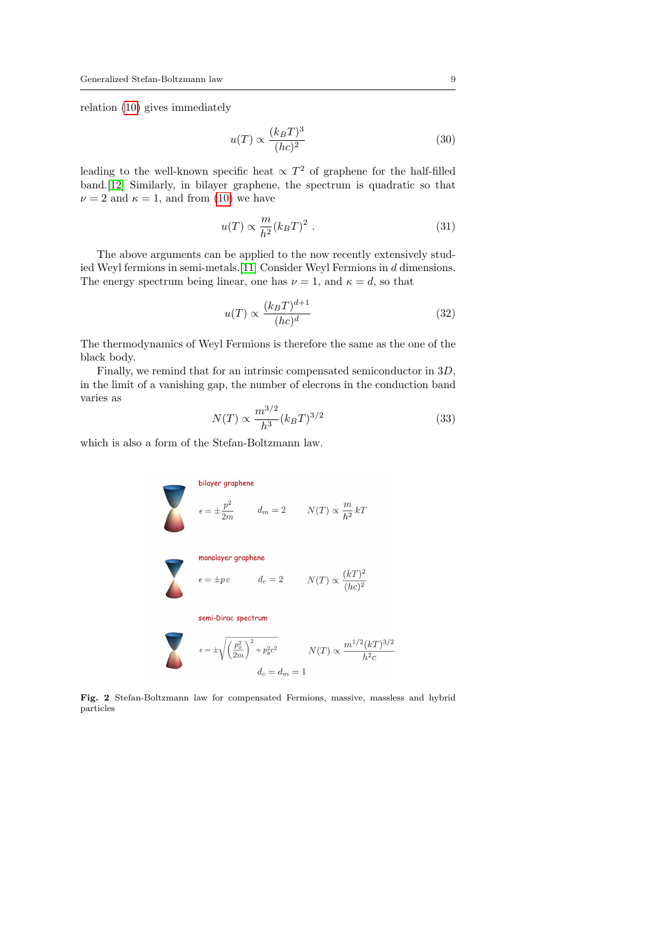relation [\(10\)](#page-3-3) gives immediately

$$
u(T) \propto \frac{(k_B T)^3}{(hc)^2} \tag{30}
$$

leading to the well-known specific heat  $\propto T^2$  of graphene for the half-filled band.[\[12\]](#page-15-5) Similarly, in bilayer graphene, the spectrum is quadratic so that  $\nu = 2$  and  $\kappa = 1$ , and from [\(10\)](#page-3-3) we have

$$
u(T) \propto \frac{m}{h^2} (k_B T)^2 \ . \tag{31}
$$

The above arguments can be applied to the now recently extensively studied Weyl fermions in semi-metals.[\[11\]](#page-15-6) Consider Weyl Fermions in d dimensions. The energy spectrum being linear, one has  $\nu = 1$ , and  $\kappa = d$ , so that

$$
u(T) \propto \frac{(k_B T)^{d+1}}{(hc)^d} \tag{32}
$$

The thermodynamics of Weyl Fermions is therefore the same as the one of the black body.

Finally, we remind that for an intrinsic compensated semiconductor in 3D, in the limit of a vanishing gap, the number of elecrons in the conduction band varies as

$$
N(T) \propto \frac{m^{3/2}}{h^3} (k_B T)^{3/2}
$$
 (33)

which is also a form of the Stefan-Boltzmann law.

$$
\epsilon = \pm \frac{p^2}{2m} \qquad d_m = 2 \qquad N(T) \propto \frac{m}{h^2} kT
$$
\nmonolayer graphene

\n
$$
\epsilon = \pm pc \qquad d_c = 2 \qquad N(T) \propto \frac{(kT)^2}{(hc)^2}
$$
\nsemi-Dirac spectrum

\n
$$
\epsilon = \pm \sqrt{\left(\frac{p_x^2}{2m}\right)^2 + p_y^2 c^2} \qquad N(T) \propto \frac{m^{1/2} (kT)^{3/2}}{h^2 c}
$$
\n
$$
d_c = d_m = 1
$$

<span id="page-8-0"></span>Fig. 2 Stefan-Boltzmann law for compensated Fermions, massive, massless and hybrid particles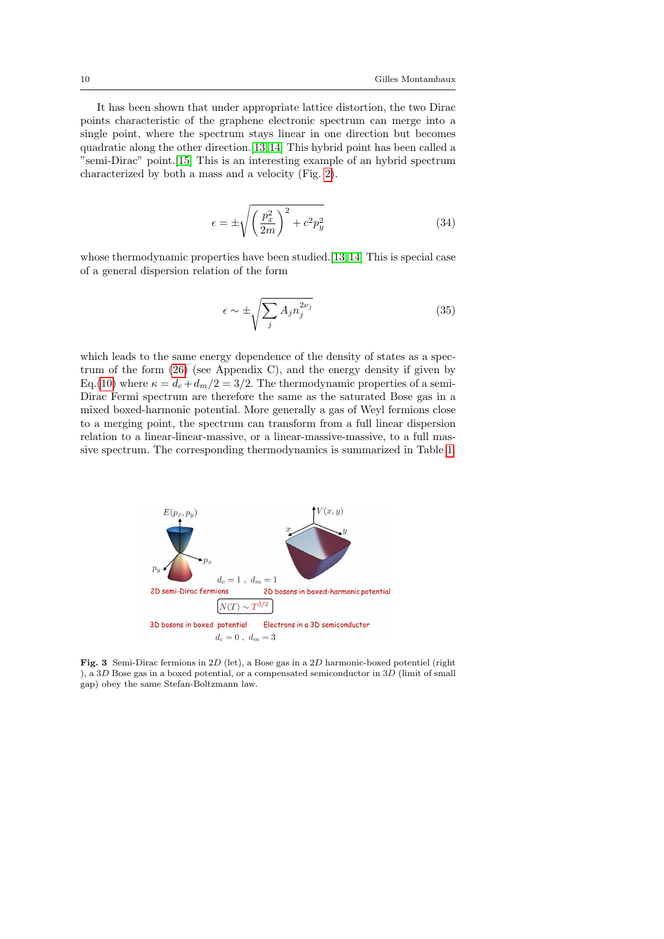It has been shown that under appropriate lattice distortion, the two Dirac points characteristic of the graphene electronic spectrum can merge into a single point, where the spectrum stays linear in one direction but becomes quadratic along the other direction.[\[13,](#page-15-7) [14\]](#page-15-8) This hybrid point has been called a "semi-Dirac" point.[\[15\]](#page-15-9) This is an interesting example of an hybrid spectrum characterized by both a mass and a velocity (Fig. [2\)](#page-8-0).

$$
\epsilon = \pm \sqrt{\left(\frac{p_x^2}{2m}\right)^2 + c^2 p_y^2}
$$
\n(34)

whose thermodynamic properties have been studied.[\[13,](#page-15-7)14] This is special case of a general dispersion relation of the form

$$
\epsilon \sim \pm \sqrt{\sum_{j} A_{j} n_{j}^{2\nu_{j}}} \tag{35}
$$

which leads to the same energy dependence of the density of states as a spectrum of the form [\(26\)](#page-6-2) (see Appendix C), and the energy density if given by Eq.[\(10\)](#page-3-3) where  $\kappa = d_c + d_m/2 = 3/2$ . The thermodynamic properties of a semi-Dirac Fermi spectrum are therefore the same as the saturated Bose gas in a mixed boxed-harmonic potential. More generally a gas of Weyl fermions close to a merging point, the spectrum can transform from a full linear dispersion relation to a linear-linear-massive, or a linear-massive-massive, to a full massive spectrum. The corresponding thermodynamics is summarized in Table [1.](#page-11-0)



Fig. 3 Semi-Dirac fermions in 2D (let), a Bose gas in a 2D harmonic-boxed potentiel (right ), a  $3D$  Bose gas in a boxed potential, or a compensated semiconductor in  $3D$  (limit of small gap) obey the same Stefan-Boltzmann law.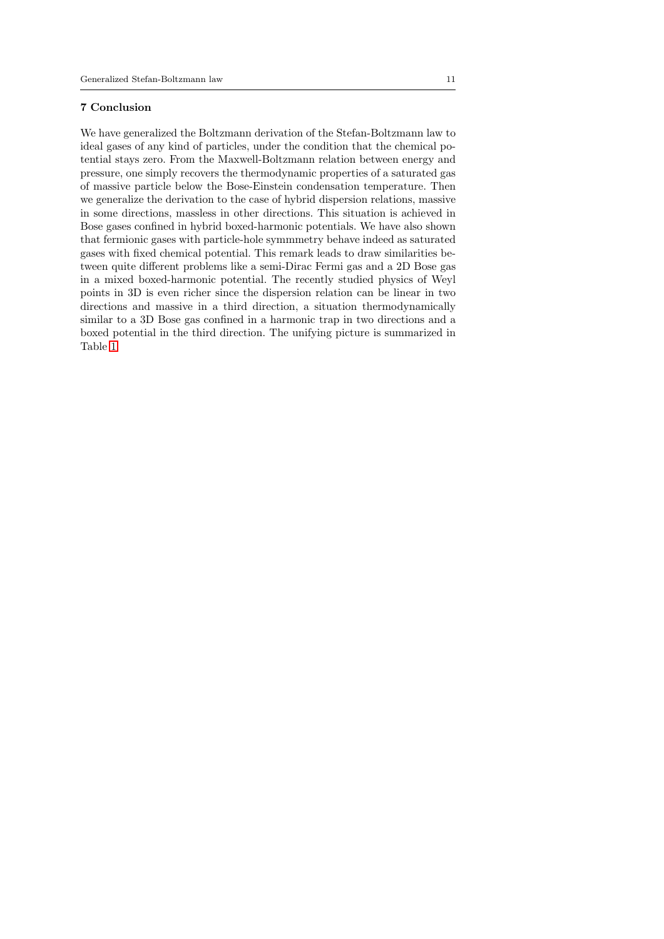### 7 Conclusion

We have generalized the Boltzmann derivation of the Stefan-Boltzmann law to ideal gases of any kind of particles, under the condition that the chemical potential stays zero. From the Maxwell-Boltzmann relation between energy and pressure, one simply recovers the thermodynamic properties of a saturated gas of massive particle below the Bose-Einstein condensation temperature. Then we generalize the derivation to the case of hybrid dispersion relations, massive in some directions, massless in other directions. This situation is achieved in Bose gases confined in hybrid boxed-harmonic potentials. We have also shown that fermionic gases with particle-hole symmmetry behave indeed as saturated gases with fixed chemical potential. This remark leads to draw similarities between quite different problems like a semi-Dirac Fermi gas and a 2D Bose gas in a mixed boxed-harmonic potential. The recently studied physics of Weyl points in 3D is even richer since the dispersion relation can be linear in two directions and massive in a third direction, a situation thermodynamically similar to a 3D Bose gas confined in a harmonic trap in two directions and a boxed potential in the third direction. The unifying picture is summarized in Table [1.](#page-11-0)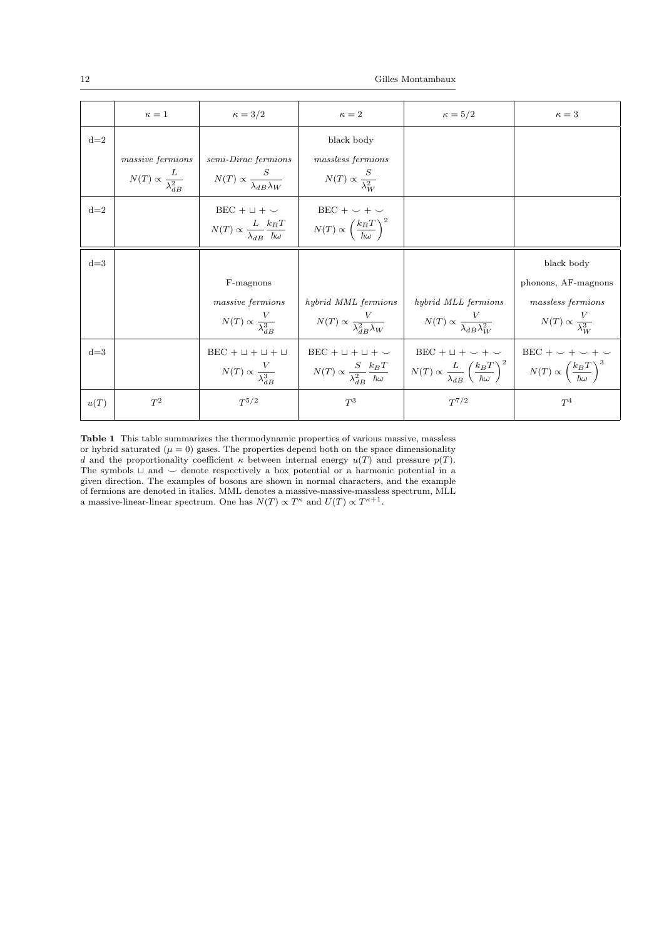|       | $\kappa=1$                              | $\kappa=3/2$                                   | $\kappa=2$                                                                                                                | $\kappa = 5/2$                                                                  | $\kappa=3$                                               |
|-------|-----------------------------------------|------------------------------------------------|---------------------------------------------------------------------------------------------------------------------------|---------------------------------------------------------------------------------|----------------------------------------------------------|
| $d=2$ |                                         |                                                | black body                                                                                                                |                                                                                 |                                                          |
|       | massive fermions                        | semi-Dirac fermions                            | massless fermions                                                                                                         |                                                                                 |                                                          |
|       | $N(T) \propto \frac{L}{\lambda_{AB}^2}$ | $N(T) \propto \frac{S}{\lambda_{AB}\lambda_W}$ | $N(T) \propto \frac{S}{\lambda_{\text{av}}^2}$                                                                            |                                                                                 |                                                          |
| $d=2$ |                                         | $BEC + \sqcup + \smile$                        | $BEC + \smile + \smile$                                                                                                   |                                                                                 |                                                          |
|       |                                         |                                                | $N(T) \propto \frac{L}{\lambda_{ID}} \frac{k_B T}{\hbar \omega}$ $N(T) \propto \left(\frac{k_B T}{\hbar \omega}\right)^2$ |                                                                                 |                                                          |
| $d=3$ |                                         |                                                |                                                                                                                           |                                                                                 | black body                                               |
|       |                                         | F-magnons                                      |                                                                                                                           |                                                                                 | phonons, AF-magnons                                      |
|       |                                         | massive fermions                               | hybrid MML fermions                                                                                                       | hybrid MLL fermions                                                             | massless fermions                                        |
|       |                                         | $N(T) \propto \frac{V}{\lambda_{AP}^3}$        | $N(T) \propto \frac{V}{\lambda_{AB}^2 \lambda_W}$                                                                         | $N(T) \propto \frac{V}{\lambda_{dR} \lambda_{W}^2}$                             | $N(T) \propto \frac{V}{\lambda_W^3}$                     |
| $d=3$ |                                         | $BEC + \sqcup + \sqcup + \sqcup$               | $BEC + \sqcup + \sqcup + \smile$                                                                                          | $BEC + \cup + \cup + \cup$                                                      | $BEC + \smile + \smile + \smile$                         |
|       |                                         | $N(T) \propto \frac{V}{\lambda_{AB}^3}$        | $N(T) \propto \frac{S}{\lambda_{AD}^2} \frac{k_B T}{\hbar \omega}$                                                        | $N(T) \propto \frac{L}{\lambda_{dB}} \left(\frac{k_B T}{\hbar \omega}\right)^2$ | $N(T) \propto \left(\frac{k_B T}{\hbar \omega}\right)^3$ |
| u(T)  | $T^2$                                   | $T^{5/2}$                                      | $T^3$                                                                                                                     | $T^{7/2}$                                                                       | $T^4$                                                    |

<span id="page-11-0"></span>Table 1 This table summarizes the thermodynamic properties of various massive, massless or hybrid saturated  $(\mu = 0)$  gases. The properties depend both on the space dimensionality d and the proportionality coefficient  $\kappa$  between internal energy  $u(T)$  and pressure  $p(T)$ . The symbols  $\sqcup$  and  $\smile$  denote respectively a box potential or a harmonic potential in a given direction. The examples of bosons are shown in normal characters, and the example of fermions are denoted in italics. MML denotes a massive-massive-massless spectrum, MLL a massive-linear-linear spectrum. One has  $N(T) \propto T^{\kappa}$  and  $U(T) \propto T^{\kappa+1}$ .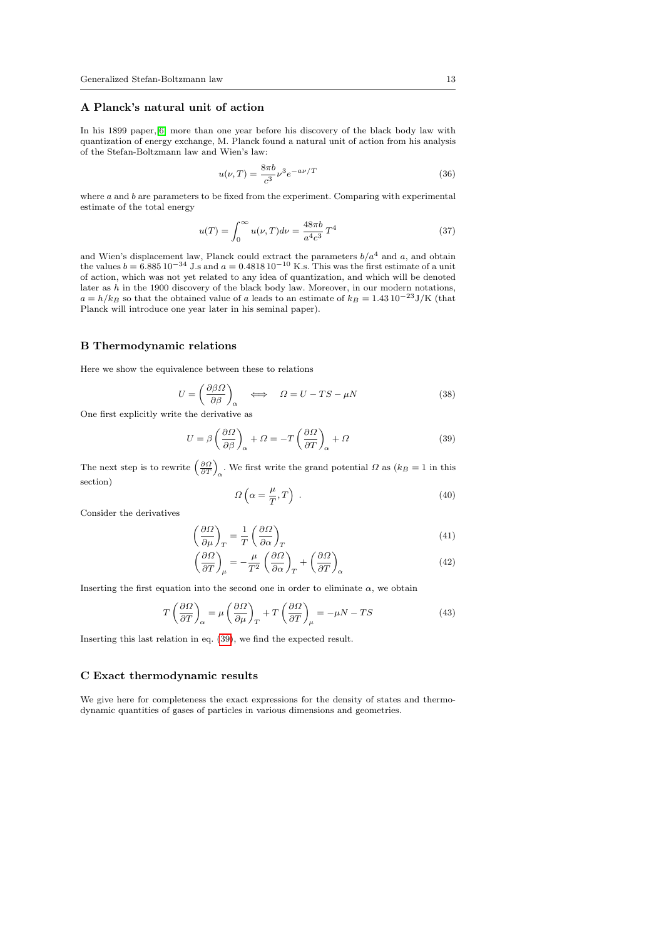# A Planck's natural unit of action

In his 1899 paper,[\[6\]](#page-15-0) more than one year before his discovery of the black body law with quantization of energy exchange, M. Planck found a natural unit of action from his analysis of the Stefan-Boltzmann law and Wien's law:

$$
u(\nu, T) = \frac{8\pi b}{c^3} \nu^3 e^{-a\nu/T}
$$
\n(36)

where  $a$  and  $b$  are parameters to be fixed from the experiment. Comparing with experimental estimate of the total energy

$$
u(T) = \int_0^\infty u(\nu, T) d\nu = \frac{48\pi b}{a^4 c^3} T^4
$$
 (37)

and Wien's displacement law, Planck could extract the parameters  $b/a<sup>4</sup>$  and  $a$ , and obtain the values  $b = 6.88510^{-34}$  J.s and  $a = 0.481810^{-10}$  K.s. This was the first estimate of a unit of action, which was not yet related to any idea of quantization, and which will be denoted later as  $h$  in the 1900 discovery of the black body law. Moreover, in our modern notations,  $a = h/k_B$  so that the obtained value of  $a$  leads to an estimate of  $k_B = 1.43\,10^{-23}\mathrm{J/K}$  (that Planck will introduce one year later in his seminal paper).

#### B Thermodynamic relations

Here we show the equivalence between these to relations

$$
U = \left(\frac{\partial \beta \Omega}{\partial \beta}\right)_{\alpha} \iff \Omega = U - TS - \mu N \tag{38}
$$

One first explicitly write the derivative as

<span id="page-12-0"></span>
$$
U = \beta \left(\frac{\partial \Omega}{\partial \beta}\right)_{\alpha} + \Omega = -T \left(\frac{\partial \Omega}{\partial T}\right)_{\alpha} + \Omega \tag{39}
$$

The next step is to rewrite  $\left(\frac{\partial \Omega}{\partial T}\right)_{\alpha}$ . We first write the grand potential  $\Omega$  as  $(k_B = 1$  in this section)

$$
\Omega\left(\alpha = \frac{\mu}{T}, T\right) \tag{40}
$$

Consider the derivatives

$$
\left(\frac{\partial\Omega}{\partial\mu}\right)_T = \frac{1}{T} \left(\frac{\partial\Omega}{\partial\alpha}\right)_T
$$
\n(41)

$$
\left(\frac{\partial\Omega}{\partial T}\right)_{\mu} = -\frac{\mu}{T^2} \left(\frac{\partial\Omega}{\partial \alpha}\right)_{T} + \left(\frac{\partial\Omega}{\partial T}\right)_{\alpha} \tag{42}
$$

Inserting the first equation into the second one in order to eliminate  $\alpha$ , we obtain

$$
T\left(\frac{\partial\Omega}{\partial T}\right)_{\alpha} = \mu \left(\frac{\partial\Omega}{\partial \mu}\right)_{T} + T\left(\frac{\partial\Omega}{\partial T}\right)_{\mu} = -\mu N - TS \tag{43}
$$

Inserting this last relation in eq. [\(39\)](#page-12-0), we find the expected result.

## C Exact thermodynamic results

We give here for completeness the exact expressions for the density of states and thermodynamic quantities of gases of particles in various dimensions and geometries.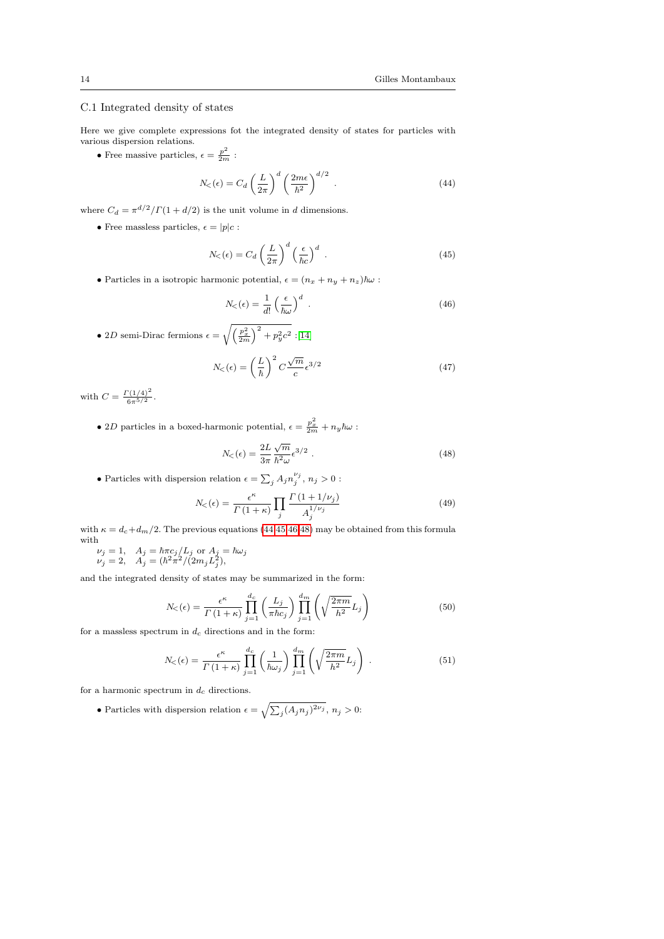# C.1 Integrated density of states

Here we give complete expressions fot the integrated density of states for particles with various dispersion relations.

• Free massive particles,  $\epsilon = \frac{p^2}{2m}$ :

<span id="page-13-0"></span>
$$
N_{<}(\epsilon) = C_{d} \left(\frac{L}{2\pi}\right)^{d} \left(\frac{2m\epsilon}{\hbar^{2}}\right)^{d/2} . \tag{44}
$$

where  $C_d = \pi^{d/2}/\Gamma(1 + d/2)$  is the unit volume in d dimensions.

• Free massless particles,  $\epsilon = |p|c$ :

<span id="page-13-1"></span>
$$
N_{\leq}(\epsilon) = C_d \left(\frac{L}{2\pi}\right)^d \left(\frac{\epsilon}{\hbar c}\right)^d \tag{45}
$$

• Particles in a isotropic harmonic potential,  $\epsilon = (n_x + n_y + n_z)\hbar\omega$ :

<span id="page-13-2"></span>
$$
N_{\leq}(\epsilon) = \frac{1}{d!} \left(\frac{\epsilon}{\hbar \omega}\right)^d \tag{46}
$$

• 2D semi-Dirac fermions  $\epsilon = \sqrt{\left(\frac{p_x^2}{2m}\right)^2 + p_y^2 c^2}$  :[\[14\]](#page-15-8)

$$
N_{\leq}(\epsilon) = \left(\frac{L}{\hbar}\right)^2 C \frac{\sqrt{m}}{c} \epsilon^{3/2}
$$
 (47)

with  $C = \frac{\Gamma(1/4)^2}{c^{-5/2}}$  $\frac{(1/4)}{6\pi^{5/2}}$ .

• 2D particles in a boxed-harmonic potential,  $\epsilon = \frac{p_x^2}{2m} + n_y \hbar \omega$ :

<span id="page-13-3"></span>
$$
N_{\leq}(\epsilon) = \frac{2L}{3\pi} \frac{\sqrt{m}}{\hbar^2 \omega} \epsilon^{3/2} . \tag{48}
$$

• Particles with dispersion relation  $\epsilon = \sum_j A_j n_j^{\nu_j}, \, n_j > 0$  :

$$
N_{\leq}(\epsilon) = \frac{\epsilon^{\kappa}}{\Gamma(1+\kappa)} \prod_{j} \frac{\Gamma(1+1/\nu_j)}{A_j^{1/\nu_j}}
$$
(49)

with  $\kappa = d_c + d_m/2$ . The previous equations [\(44,](#page-13-0)[45](#page-13-1)[,46,](#page-13-2)[48\)](#page-13-3) may be obtained from this formula with  $\nu_j = 1, \quad A_j = \hbar \pi c_j / L_j \text{ or } A_j = \hbar \omega_j$ 

 $\nu_j = 2, \quad A_j = (\hbar^2 \pi^2/ (2m_j L_j^2),$ 

and the integrated density of states may be summarized in the form:

$$
N_{\leq}(\epsilon) = \frac{\epsilon^{\kappa}}{\Gamma(1+\kappa)} \prod_{j=1}^{d_c} \left( \frac{L_j}{\pi \hbar c_j} \right) \prod_{j=1}^{d_m} \left( \sqrt{\frac{2\pi m}{h^2}} L_j \right)
$$
(50)

for a massless spectrum in  $d_c$  directions and in the form:

$$
N_{<}(\epsilon) = \frac{\epsilon^{\kappa}}{\Gamma(1+\kappa)} \prod_{j=1}^{d_c} \left(\frac{1}{\hbar \omega_j}\right) \prod_{j=1}^{d_m} \left(\sqrt{\frac{2\pi m}{h^2}} L_j\right) . \tag{51}
$$

for a harmonic spectrum in  $d_c$  directions.

• Particles with dispersion relation  $\epsilon = \sqrt{\sum_j (A_j n_j)^{2\nu_j}}$ ,  $n_j > 0$ :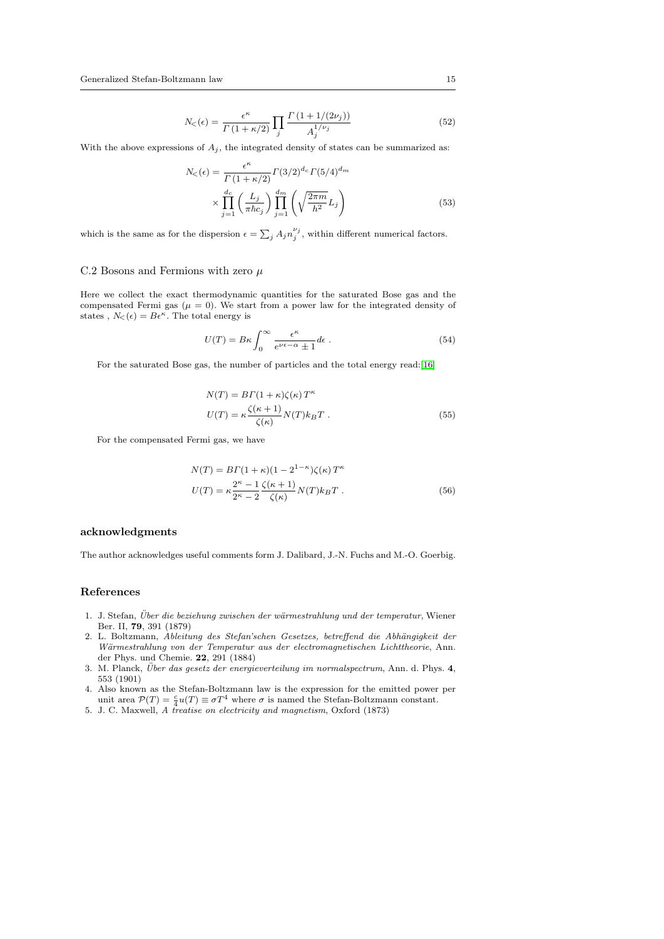$$
N_{\leq}(\epsilon) = \frac{\epsilon^{\kappa}}{\Gamma(1+\kappa/2)} \prod_{j} \frac{\Gamma(1+1/(2\nu_j))}{A_j^{1/\nu_j}} \tag{52}
$$

With the above expressions of  $A_j$ , the integrated density of states can be summarized as:

$$
N_{\leq}(\epsilon) = \frac{\epsilon^{\kappa}}{\Gamma(1+\kappa/2)} \Gamma(3/2)^{d_c} \Gamma(5/4)^{d_m}
$$

$$
\times \prod_{j=1}^{d_c} \left(\frac{L_j}{\pi \hbar c_j}\right) \prod_{j=1}^{d_m} \left(\sqrt{\frac{2\pi m}{h^2}} L_j\right)
$$
(53)

which is the same as for the dispersion  $\epsilon = \sum_j A_j n_j^{\nu_j}$ , within different numerical factors.

### C.2 Bosons and Fermions with zero  $\mu$

Here we collect the exact thermodynamic quantities for the saturated Bose gas and the compensated Fermi gas ( $\mu = 0$ ). We start from a power law for the integrated density of states,  $N_{\leq}(\epsilon) = B\epsilon^{\kappa}$ . The total energy is

$$
U(T) = B\kappa \int_0^\infty \frac{\epsilon^{\kappa}}{e^{\nu \epsilon - \alpha} \pm 1} d\epsilon \; . \tag{54}
$$

For the saturated Bose gas, the number of particles and the total energy read:[\[16\]](#page-15-10)

$$
N(T) = B\Gamma(1+\kappa)\zeta(\kappa)T^{\kappa}
$$
  

$$
U(T) = \kappa \frac{\zeta(\kappa+1)}{\zeta(\kappa)}N(T)k_BT.
$$
 (55)

For the compensated Fermi gas, we have

$$
N(T) = B\Gamma(1+\kappa)(1-2^{1-\kappa})\zeta(\kappa)T^{\kappa}
$$

$$
U(T) = \kappa \frac{2^{\kappa}-1}{2^{\kappa}-2} \frac{\zeta(\kappa+1)}{\zeta(\kappa)} N(T)k_B T . \tag{56}
$$

#### acknowledgments

The author acknowledges useful comments form J. Dalibard, J.-N. Fuchs and M.-O. Goerbig.

# References

- <span id="page-14-0"></span>1. J. Stefan, Über die beziehung zwischen der wärmestrahlung und der temperatur, Wiener Ber. II, 79, 391 (1879)
- <span id="page-14-1"></span>2. L. Boltzmann, Ableitung des Stefan'schen Gesetzes, betreffend die Abhängigkeit der Wärmestrahlung von der Temperatur aus der electromagnetischen Lichttheorie, Ann. der Phys. und Chemie. 22, 291 (1884)
- <span id="page-14-2"></span>3. M. Planck, Über das gesetz der energieverteilung im normalspectrum, Ann. d. Phys.  $4$ , 553 (1901)
- <span id="page-14-3"></span>4. Also known as the Stefan-Boltzmann law is the expression for the emitted power per unit area  $\mathcal{P}(T) = \frac{c}{4}u(T) \equiv \sigma T^4$  where  $\sigma$  is named the Stefan-Boltzmann constant.
- <span id="page-14-4"></span>5. J. C. Maxwell, A treatise on electricity and magnetism, Oxford (1873)